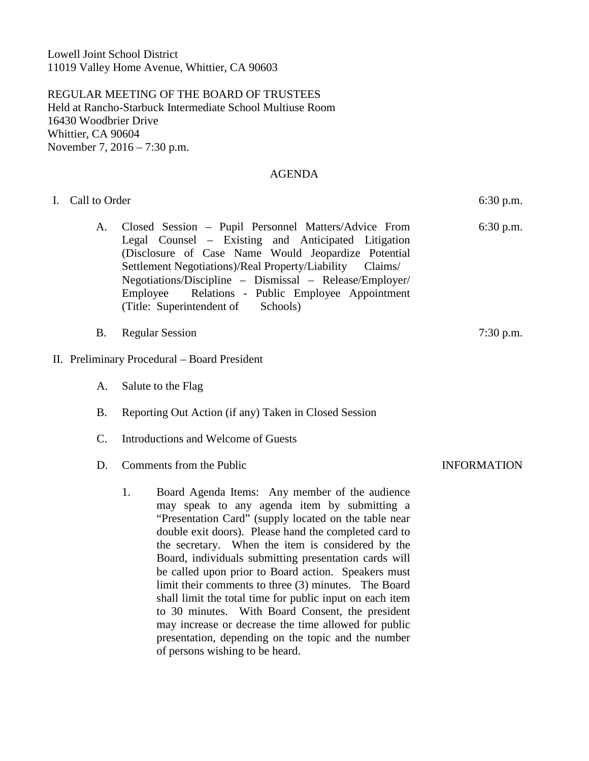Lowell Joint School District 11019 Valley Home Avenue, Whittier, CA 90603

REGULAR MEETING OF THE BOARD OF TRUSTEES Held at Rancho-Starbuck Intermediate School Multiuse Room 16430 Woodbrier Drive Whittier, CA 90604 November 7, 2016 – 7:30 p.m.

#### AGENDA

| I. Call to Order | $6:30$ p.m.                                                                                                                                                                                                                                                                                                                                                                                                                                                                                                     |             |
|------------------|-----------------------------------------------------------------------------------------------------------------------------------------------------------------------------------------------------------------------------------------------------------------------------------------------------------------------------------------------------------------------------------------------------------------------------------------------------------------------------------------------------------------|-------------|
| A.               | Closed Session - Pupil Personnel Matters/Advice From<br>Legal Counsel – Existing and Anticipated Litigation<br>(Disclosure of Case Name Would Jeopardize Potential<br>Settlement Negotiations)/Real Property/Liability Claims/<br>Negotiations/Discipline - Dismissal - Release/Employer/<br>Relations - Public Employee Appointment<br>Employee<br>(Title: Superintendent of<br>Schools)                                                                                                                       | $6:30$ p.m. |
| <b>B.</b>        | $7:30$ p.m.                                                                                                                                                                                                                                                                                                                                                                                                                                                                                                     |             |
|                  | II. Preliminary Procedural – Board President                                                                                                                                                                                                                                                                                                                                                                                                                                                                    |             |
| A.               |                                                                                                                                                                                                                                                                                                                                                                                                                                                                                                                 |             |
| <b>B.</b>        |                                                                                                                                                                                                                                                                                                                                                                                                                                                                                                                 |             |
| $\mathcal{C}$ .  | Introductions and Welcome of Guests                                                                                                                                                                                                                                                                                                                                                                                                                                                                             |             |
| D.               | <b>INFORMATION</b>                                                                                                                                                                                                                                                                                                                                                                                                                                                                                              |             |
|                  | 1.<br>Board Agenda Items: Any member of the audience<br>may speak to any agenda item by submitting a<br>"Presentation Card" (supply located on the table near<br>double exit doors). Please hand the completed card to<br>the secretary. When the item is considered by the<br>Board, individuals submitting presentation cards will<br>be called upon prior to Board action. Speakers must<br>limit their comments to three (3) minutes. The Board<br>shall limit the total time for public input on each item |             |

to 30 minutes. With Board Consent, the president may increase or decrease the time allowed for public presentation, depending on the topic and the number

of persons wishing to be heard.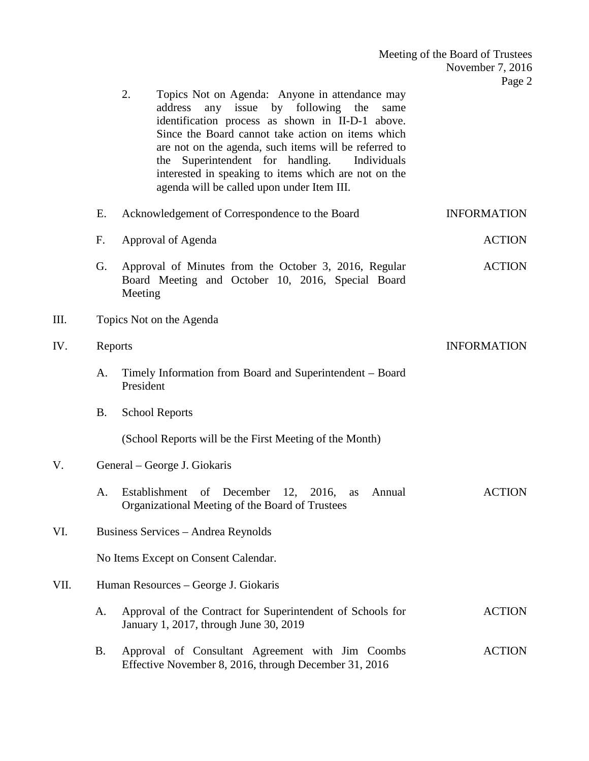|      |                                     | 2.<br>Topics Not on Agenda: Anyone in attendance may<br>by following the<br>address<br>any issue<br>same<br>identification process as shown in II-D-1 above.<br>Since the Board cannot take action on items which<br>are not on the agenda, such items will be referred to<br>Superintendent for handling.<br>the<br>Individuals<br>interested in speaking to items which are not on the<br>agenda will be called upon under Item III. |                    |  |  |  |  |  |
|------|-------------------------------------|----------------------------------------------------------------------------------------------------------------------------------------------------------------------------------------------------------------------------------------------------------------------------------------------------------------------------------------------------------------------------------------------------------------------------------------|--------------------|--|--|--|--|--|
|      | E.                                  | Acknowledgement of Correspondence to the Board                                                                                                                                                                                                                                                                                                                                                                                         | <b>INFORMATION</b> |  |  |  |  |  |
|      | F.                                  | Approval of Agenda                                                                                                                                                                                                                                                                                                                                                                                                                     | <b>ACTION</b>      |  |  |  |  |  |
|      | G.                                  | Approval of Minutes from the October 3, 2016, Regular<br>Board Meeting and October 10, 2016, Special Board<br>Meeting                                                                                                                                                                                                                                                                                                                  | <b>ACTION</b>      |  |  |  |  |  |
| III. |                                     | Topics Not on the Agenda                                                                                                                                                                                                                                                                                                                                                                                                               |                    |  |  |  |  |  |
| IV.  |                                     | Reports                                                                                                                                                                                                                                                                                                                                                                                                                                | <b>INFORMATION</b> |  |  |  |  |  |
|      | A.                                  | Timely Information from Board and Superintendent - Board<br>President                                                                                                                                                                                                                                                                                                                                                                  |                    |  |  |  |  |  |
|      | <b>B.</b>                           | <b>School Reports</b>                                                                                                                                                                                                                                                                                                                                                                                                                  |                    |  |  |  |  |  |
|      |                                     | (School Reports will be the First Meeting of the Month)                                                                                                                                                                                                                                                                                                                                                                                |                    |  |  |  |  |  |
| V.   |                                     | General – George J. Giokaris                                                                                                                                                                                                                                                                                                                                                                                                           |                    |  |  |  |  |  |
|      | A.                                  | Establishment<br>of December 12, 2016,<br>Annual<br>as<br>Organizational Meeting of the Board of Trustees                                                                                                                                                                                                                                                                                                                              | <b>ACTION</b>      |  |  |  |  |  |
| VI.  | Business Services - Andrea Reynolds |                                                                                                                                                                                                                                                                                                                                                                                                                                        |                    |  |  |  |  |  |
|      |                                     | No Items Except on Consent Calendar.                                                                                                                                                                                                                                                                                                                                                                                                   |                    |  |  |  |  |  |
| VII. |                                     | Human Resources – George J. Giokaris                                                                                                                                                                                                                                                                                                                                                                                                   |                    |  |  |  |  |  |
|      | A.                                  | Approval of the Contract for Superintendent of Schools for<br>January 1, 2017, through June 30, 2019                                                                                                                                                                                                                                                                                                                                   | <b>ACTION</b>      |  |  |  |  |  |
|      | <b>B.</b>                           | Approval of Consultant Agreement with Jim Coombs<br>Effective November 8, 2016, through December 31, 2016                                                                                                                                                                                                                                                                                                                              | <b>ACTION</b>      |  |  |  |  |  |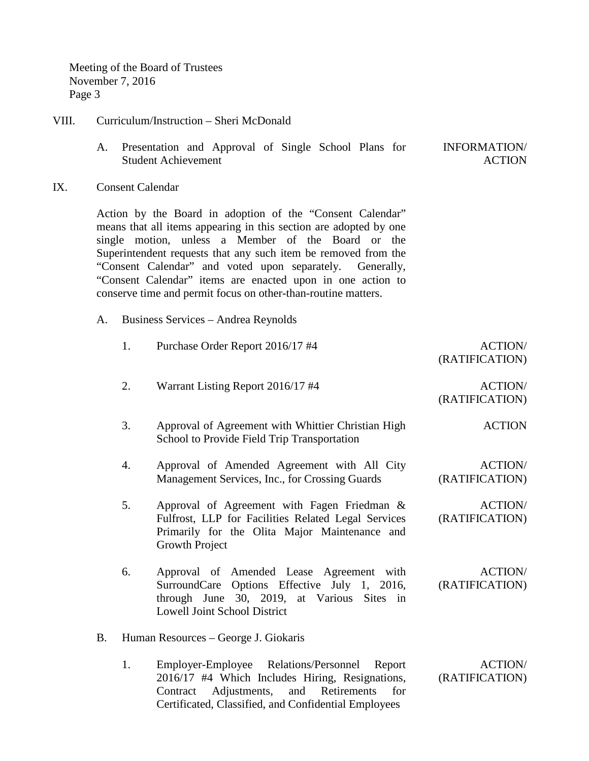Meeting of the Board of Trustees November 7, 2016 Page 3

### VIII. Curriculum/Instruction – Sheri McDonald

- A. Presentation and Approval of Single School Plans for Student Achievement INFORMATION/ ACTION
- IX. Consent Calendar

Action by the Board in adoption of the "Consent Calendar" means that all items appearing in this section are adopted by one single motion, unless a Member of the Board or the Superintendent requests that any such item be removed from the "Consent Calendar" and voted upon separately. Generally, "Consent Calendar" items are enacted upon in one action to conserve time and permit focus on other-than-routine matters.

A. Business Services – Andrea Reynolds

|    | 1. | Purchase Order Report 2016/17 #4                                                                                                                                              | <b>ACTION/</b><br>(RATIFICATION) |
|----|----|-------------------------------------------------------------------------------------------------------------------------------------------------------------------------------|----------------------------------|
|    | 2. | Warrant Listing Report 2016/17 #4                                                                                                                                             | <b>ACTION/</b><br>(RATIFICATION) |
|    | 3. | Approval of Agreement with Whittier Christian High<br>School to Provide Field Trip Transportation                                                                             | <b>ACTION</b>                    |
|    | 4. | Approval of Amended Agreement with All City<br>Management Services, Inc., for Crossing Guards                                                                                 | <b>ACTION/</b><br>(RATIFICATION) |
|    | 5. | Approval of Agreement with Fagen Friedman &<br>Fulfrost, LLP for Facilities Related Legal Services<br>Primarily for the Olita Major Maintenance and<br>Growth Project         | <b>ACTION/</b><br>(RATIFICATION) |
|    | 6. | Approval of Amended Lease Agreement with<br>SurroundCare Options Effective July 1, 2016,<br>through June 30, 2019, at Various Sites in<br><b>Lowell Joint School District</b> | <b>ACTION/</b><br>(RATIFICATION) |
| В. |    | Human Resources – George J. Giokaris                                                                                                                                          |                                  |
|    | 1. | Employer-Employee Relations/Personnel<br>Report<br>2016/17 #4 Which Includes Hiring, Resignations,<br>Contract Adjustments,<br>and Retirements<br>for                         | <b>ACTION/</b><br>(RATIFICATION) |

Certificated, Classified, and Confidential Employees